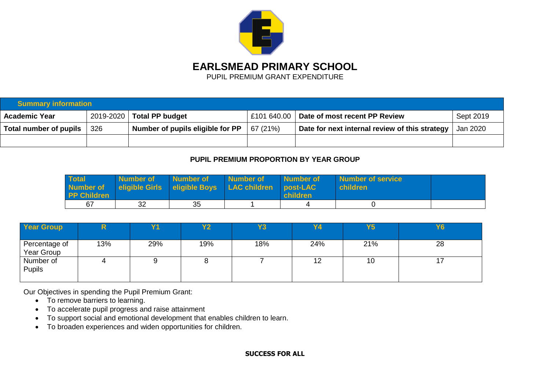

**EARLSMEAD PRIMARY SCHOOL**

PUPIL PREMIUM GRANT EXPENDITURE

| <b>Summary information</b> |                                                                                                       |                        |          |                                           |           |  |  |
|----------------------------|-------------------------------------------------------------------------------------------------------|------------------------|----------|-------------------------------------------|-----------|--|--|
| <b>Academic Year</b>       | 2019-2020                                                                                             | <b>Total PP budget</b> |          | E101 640.00 Date of most recent PP Review | Sept 2019 |  |  |
| Total number of pupils     | Number of pupils eligible for PP<br>Date for next internal review of this strategy<br>67 (21%)<br>326 |                        | Jan 2020 |                                           |           |  |  |
|                            |                                                                                                       |                        |          |                                           |           |  |  |

# **PUPIL PREMIUM PROPORTION BY YEAR GROUP**

| Total<br>Number of<br><b>PP Children</b> | Number of | <b>Number of</b> | Number of<br>eligible Girls eligible Boys LAC children post-LAC | <b>Number of</b><br><b>children</b> | Number of service<br>l children l |  |
|------------------------------------------|-----------|------------------|-----------------------------------------------------------------|-------------------------------------|-----------------------------------|--|
| 67                                       | 32        | 35               |                                                                 |                                     |                                   |  |

| <b>Year Group</b> |     | Y1  | Y2  | Y3  | <b>Y4</b> | <b>Y5</b> | <b>Y6</b> |
|-------------------|-----|-----|-----|-----|-----------|-----------|-----------|
|                   |     |     |     |     |           |           |           |
| Percentage of     | 13% | 29% | 19% | 18% | 24%       | 21%       | 28        |
| Year Group        |     |     |     |     |           |           |           |
| Number of         |     |     |     |     | 12        | 10        |           |
| Pupils            |     |     |     |     |           |           |           |
|                   |     |     |     |     |           |           |           |

Our Objectives in spending the Pupil Premium Grant:

- To remove barriers to learning.
- To accelerate pupil progress and raise attainment
- To support social and emotional development that enables children to learn.
- To broaden experiences and widen opportunities for children.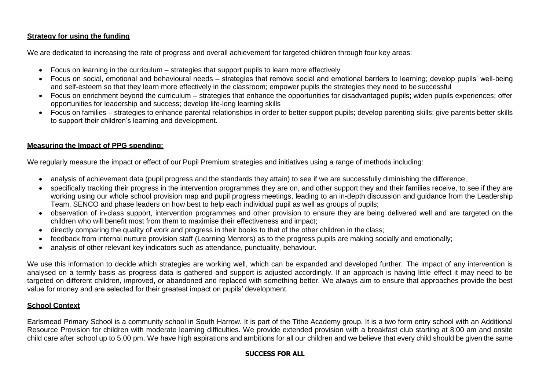### **Strategy for using the funding**

We are dedicated to increasing the rate of progress and overall achievement for targeted children through four key areas:

- Focus on learning in the curriculum strategies that support pupils to learn more effectively
- Focus on social, emotional and behavioural needs strategies that remove social and emotional barriers to learning; develop pupils' well-being and self-esteem so that they learn more effectively in the classroom; empower pupils the strategies they need to be successful
- Focus on enrichment beyond the curriculum strategies that enhance the opportunities for disadvantaged pupils; widen pupils experiences; offer opportunities for leadership and success; develop life-long learning skills
- Focus on families strategies to enhance parental relationships in order to better support pupils; develop parenting skills; give parents better skills to support their children's learning and development.

## **Measuring the Impact of PPG spending:**

We regularly measure the impact or effect of our Pupil Premium strategies and initiatives using a range of methods including:

- analysis of achievement data (pupil progress and the standards they attain) to see if we are successfully diminishing the difference;
- specifically tracking their progress in the intervention programmes they are on, and other support they and their families receive, to see if they are working using our whole school provision map and pupil progress meetings, leading to an in-depth discussion and guidance from the Leadership Team, SENCO and phase leaders on how best to help each individual pupil as well as groups of pupils;
- observation of in-class support, intervention programmes and other provision to ensure they are being delivered well and are targeted on the children who will benefit most from them to maximise their effectiveness and impact;
- directly comparing the quality of work and progress in their books to that of the other children in the class;
- feedback from internal nurture provision staff (Learning Mentors) as to the progress pupils are making socially and emotionally;
- analysis of other relevant key indicators such as attendance, punctuality, behaviour.

We use this information to decide which strategies are working well, which can be expanded and developed further. The impact of any intervention is analysed on a termly basis as progress data is gathered and support is adjusted accordingly. If an approach is having little effect it may need to be targeted on different children, improved, or abandoned and replaced with something better. We always aim to ensure that approaches provide the best value for money and are selected for their greatest impact on pupils' development.

## **School Context**

Earlsmead Primary School is a community school in South Harrow. It is part of the Tithe Academy group. It is a two form entry school with an Additional Resource Provision for children with moderate learning difficulties. We provide extended provision with a breakfast club starting at 8:00 am and onsite child care after school up to 5.00 pm. We have high aspirations and ambitions for all our children and we believe that every child should be given the same

## **SUCCESS FOR ALL**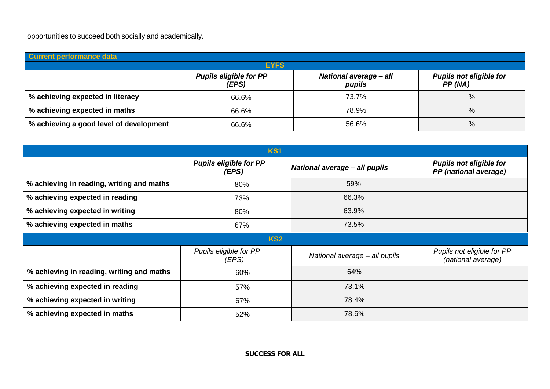opportunities to succeed both socially and academically.

| Current performance data                |                                        |                                         |                                          |  |  |  |
|-----------------------------------------|----------------------------------------|-----------------------------------------|------------------------------------------|--|--|--|
| <b>EYFS</b>                             |                                        |                                         |                                          |  |  |  |
|                                         | <b>Pupils eligible for PP</b><br>(EPS) | <b>National average - all</b><br>pupils | <b>Pupils not eligible for</b><br>PP(NA) |  |  |  |
| % achieving expected in literacy        | 66.6%                                  | 73.7%                                   | %                                        |  |  |  |
| % achieving expected in maths           | 66.6%                                  | 78.9%                                   | %                                        |  |  |  |
| % achieving a good level of development | 66.6%                                  | 56.6%                                   | %                                        |  |  |  |

| <b>KS1</b>                                |                                        |                               |                                                         |  |  |  |
|-------------------------------------------|----------------------------------------|-------------------------------|---------------------------------------------------------|--|--|--|
|                                           | <b>Pupils eligible for PP</b><br>(EPS) | National average - all pupils | <b>Pupils not eligible for</b><br>PP (national average) |  |  |  |
| % achieving in reading, writing and maths | 80%                                    | 59%                           |                                                         |  |  |  |
| % achieving expected in reading           | 73%                                    | 66.3%                         |                                                         |  |  |  |
| % achieving expected in writing           | 80%                                    | 63.9%                         |                                                         |  |  |  |
| % achieving expected in maths             | 67%                                    | 73.5%                         |                                                         |  |  |  |
|                                           | <b>KS2</b>                             |                               |                                                         |  |  |  |
|                                           | Pupils eligible for PP<br>(EPS)        | National average - all pupils | Pupils not eligible for PP<br>(national average)        |  |  |  |
| % achieving in reading, writing and maths | 60%                                    | 64%                           |                                                         |  |  |  |
| % achieving expected in reading           | 57%                                    | 73.1%                         |                                                         |  |  |  |
| % achieving expected in writing           | 67%                                    | 78.4%                         |                                                         |  |  |  |
| % achieving expected in maths             | 52%                                    | 78.6%                         |                                                         |  |  |  |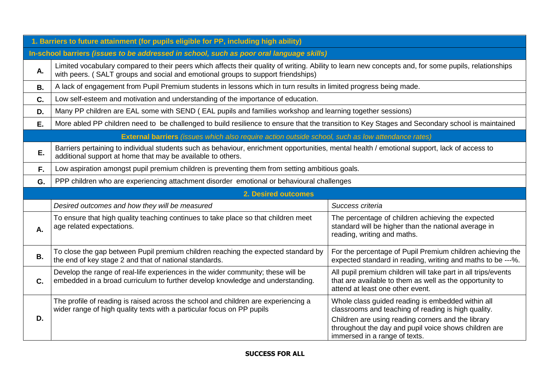|           | 1. Barriers to future attainment (for pupils eligible for PP, including high ability)                                                                                                                                                    |                                                                                                                                                               |  |  |  |  |
|-----------|------------------------------------------------------------------------------------------------------------------------------------------------------------------------------------------------------------------------------------------|---------------------------------------------------------------------------------------------------------------------------------------------------------------|--|--|--|--|
|           | In-school barriers (issues to be addressed in school, such as poor oral language skills)                                                                                                                                                 |                                                                                                                                                               |  |  |  |  |
| А.        | Limited vocabulary compared to their peers which affects their quality of writing. Ability to learn new concepts and, for some pupils, relationships<br>with peers. (SALT groups and social and emotional groups to support friendships) |                                                                                                                                                               |  |  |  |  |
| <b>B.</b> | A lack of engagement from Pupil Premium students in lessons which in turn results in limited progress being made.                                                                                                                        |                                                                                                                                                               |  |  |  |  |
| C.        | Low self-esteem and motivation and understanding of the importance of education.                                                                                                                                                         |                                                                                                                                                               |  |  |  |  |
| D.        | Many PP children are EAL some with SEND (EAL pupils and families workshop and learning together sessions)                                                                                                                                |                                                                                                                                                               |  |  |  |  |
| Ε.        | More abled PP children need to be challenged to build resilience to ensure that the transition to Key Stages and Secondary school is maintained                                                                                          |                                                                                                                                                               |  |  |  |  |
|           | <b>External barriers</b> (issues which also require action outside school, such as low attendance rates)                                                                                                                                 |                                                                                                                                                               |  |  |  |  |
| Ε.        | Barriers pertaining to individual students such as behaviour, enrichment opportunities, mental health / emotional support, lack of access to<br>additional support at home that may be available to others.                              |                                                                                                                                                               |  |  |  |  |
| F.        | Low aspiration amongst pupil premium children is preventing them from setting ambitious goals.                                                                                                                                           |                                                                                                                                                               |  |  |  |  |
| G.        | PPP children who are experiencing attachment disorder emotional or behavioural challenges                                                                                                                                                |                                                                                                                                                               |  |  |  |  |
|           | <b>2. Desired outcomes</b>                                                                                                                                                                                                               |                                                                                                                                                               |  |  |  |  |
|           | Desired outcomes and how they will be measured                                                                                                                                                                                           | Success criteria                                                                                                                                              |  |  |  |  |
| Α.        | To ensure that high quality teaching continues to take place so that children meet<br>age related expectations.                                                                                                                          | The percentage of children achieving the expected                                                                                                             |  |  |  |  |
|           |                                                                                                                                                                                                                                          | standard will be higher than the national average in<br>reading, writing and maths.                                                                           |  |  |  |  |
| <b>B.</b> | To close the gap between Pupil premium children reaching the expected standard by<br>the end of key stage 2 and that of national standards.                                                                                              | For the percentage of Pupil Premium children achieving the<br>expected standard in reading, writing and maths to be ---%.                                     |  |  |  |  |
| C.        | Develop the range of real-life experiences in the wider community; these will be<br>embedded in a broad curriculum to further develop knowledge and understanding.                                                                       | All pupil premium children will take part in all trips/events<br>that are available to them as well as the opportunity to<br>attend at least one other event. |  |  |  |  |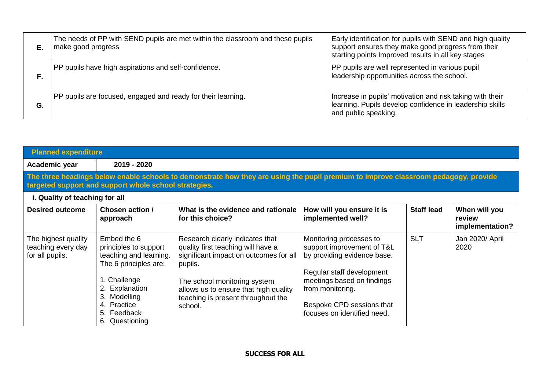| Е. | The needs of PP with SEND pupils are met within the classroom and these pupils<br>make good progress | Early identification for pupils with SEND and high quality<br>support ensures they make good progress from their<br>starting points Improved results in all key stages |
|----|------------------------------------------------------------------------------------------------------|------------------------------------------------------------------------------------------------------------------------------------------------------------------------|
| F. | PP pupils have high aspirations and self-confidence.                                                 | PP pupils are well represented in various pupil<br>leadership opportunities across the school.                                                                         |
| G. | PP pupils are focused, engaged and ready for their learning.                                         | Increase in pupils' motivation and risk taking with their<br>learning. Pupils develop confidence in leadership skills<br>and public speaking.                          |

| <b>Planned expenditure</b>                                                                                                                                                                  |                                                                                                                                                                                           |                                                                                                                                                                                                                                                      |                                                                                                                                                                                                                                 |                   |                                            |  |
|---------------------------------------------------------------------------------------------------------------------------------------------------------------------------------------------|-------------------------------------------------------------------------------------------------------------------------------------------------------------------------------------------|------------------------------------------------------------------------------------------------------------------------------------------------------------------------------------------------------------------------------------------------------|---------------------------------------------------------------------------------------------------------------------------------------------------------------------------------------------------------------------------------|-------------------|--------------------------------------------|--|
| Academic year                                                                                                                                                                               | 2019 - 2020                                                                                                                                                                               |                                                                                                                                                                                                                                                      |                                                                                                                                                                                                                                 |                   |                                            |  |
| The three headings below enable schools to demonstrate how they are using the pupil premium to improve classroom pedagogy, provide<br>targeted support and support whole school strategies. |                                                                                                                                                                                           |                                                                                                                                                                                                                                                      |                                                                                                                                                                                                                                 |                   |                                            |  |
| i. Quality of teaching for all                                                                                                                                                              |                                                                                                                                                                                           |                                                                                                                                                                                                                                                      |                                                                                                                                                                                                                                 |                   |                                            |  |
| <b>Desired outcome</b>                                                                                                                                                                      | Chosen action /<br>approach                                                                                                                                                               | What is the evidence and rationale<br>for this choice?                                                                                                                                                                                               | How will you ensure it is<br>implemented well?                                                                                                                                                                                  | <b>Staff lead</b> | When will you<br>review<br>implementation? |  |
| The highest quality<br>teaching every day<br>for all pupils.                                                                                                                                | Embed the 6<br>principles to support<br>teaching and learning.<br>The 6 principles are:<br>1. Challenge<br>2. Explanation<br>3. Modelling<br>4. Practice<br>5. Feedback<br>6. Questioning | Research clearly indicates that<br>quality first teaching will have a<br>significant impact on outcomes for all<br>pupils.<br>The school monitoring system<br>allows us to ensure that high quality<br>teaching is present throughout the<br>school. | Monitoring processes to<br>support improvement of T&L<br>by providing evidence base.<br>Regular staff development<br>meetings based on findings<br>from monitoring.<br>Bespoke CPD sessions that<br>focuses on identified need. | <b>SLT</b>        | Jan 2020/ April<br>2020                    |  |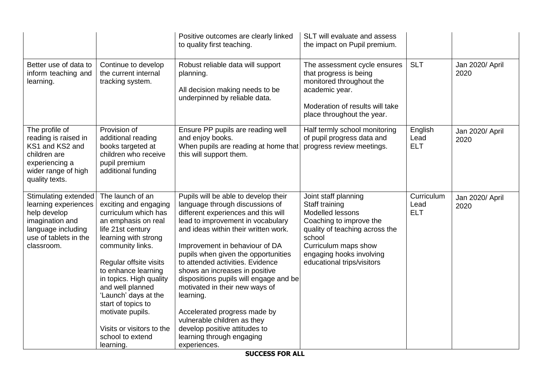|                                                                                                                                              |                                                                                                                                                                                                                                                                                                                                                                                           | Positive outcomes are clearly linked<br>to quality first teaching.                                                                                                                                                                                                                                                                                                                                                                                                                                                                                                               | SLT will evaluate and assess<br>the impact on Pupil premium.                                                                                                                                                        |                                  |                         |
|----------------------------------------------------------------------------------------------------------------------------------------------|-------------------------------------------------------------------------------------------------------------------------------------------------------------------------------------------------------------------------------------------------------------------------------------------------------------------------------------------------------------------------------------------|----------------------------------------------------------------------------------------------------------------------------------------------------------------------------------------------------------------------------------------------------------------------------------------------------------------------------------------------------------------------------------------------------------------------------------------------------------------------------------------------------------------------------------------------------------------------------------|---------------------------------------------------------------------------------------------------------------------------------------------------------------------------------------------------------------------|----------------------------------|-------------------------|
| Better use of data to<br>inform teaching and<br>learning.                                                                                    | Continue to develop<br>the current internal<br>tracking system.                                                                                                                                                                                                                                                                                                                           | Robust reliable data will support<br>planning.<br>All decision making needs to be<br>underpinned by reliable data.                                                                                                                                                                                                                                                                                                                                                                                                                                                               | The assessment cycle ensures<br>that progress is being<br>monitored throughout the<br>academic year.<br>Moderation of results will take<br>place throughout the year.                                               | <b>SLT</b>                       | Jan 2020/ April<br>2020 |
| The profile of<br>reading is raised in<br>KS1 and KS2 and<br>children are<br>experiencing a<br>wider range of high<br>quality texts.         | Provision of<br>additional reading<br>books targeted at<br>children who receive<br>pupil premium<br>additional funding                                                                                                                                                                                                                                                                    | Ensure PP pupils are reading well<br>and enjoy books.<br>When pupils are reading at home that<br>this will support them.                                                                                                                                                                                                                                                                                                                                                                                                                                                         | Half termly school monitoring<br>of pupil progress data and<br>progress review meetings.                                                                                                                            | English<br>Lead<br><b>ELT</b>    | Jan 2020/ April<br>2020 |
| Stimulating extended<br>learning experiences<br>help develop<br>imagination and<br>language including<br>use of tablets in the<br>classroom. | The launch of an<br>exciting and engaging<br>curriculum which has<br>an emphasis on real<br>life 21st century<br>learning with strong<br>community links.<br>Regular offsite visits<br>to enhance learning<br>in topics. High quality<br>and well planned<br>'Launch' days at the<br>start of topics to<br>motivate pupils.<br>Visits or visitors to the<br>school to extend<br>learning. | Pupils will be able to develop their<br>language through discussions of<br>different experiences and this will<br>lead to improvement in vocabulary<br>and ideas within their written work.<br>Improvement in behaviour of DA<br>pupils when given the opportunities<br>to attended activities. Evidence<br>shows an increases in positive<br>dispositions pupils will engage and be<br>motivated in their new ways of<br>learning.<br>Accelerated progress made by<br>vulnerable children as they<br>develop positive attitudes to<br>learning through engaging<br>experiences. | Joint staff planning<br>Staff training<br>Modelled lessons<br>Coaching to improve the<br>quality of teaching across the<br>school<br>Curriculum maps show<br>engaging hooks involving<br>educational trips/visitors | Curriculum<br>Lead<br><b>ELT</b> | Jan 2020/ April<br>2020 |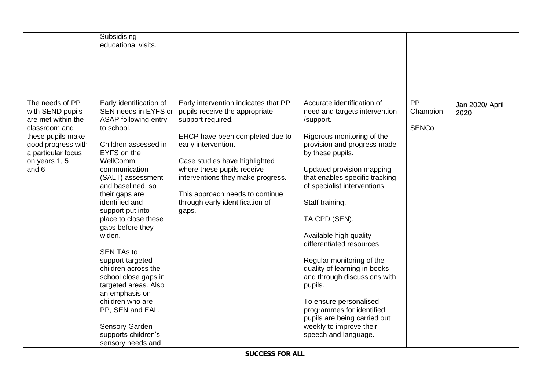| PP<br>The needs of PP<br>Early identification of<br>Accurate identification of<br>Early intervention indicates that PP<br>SEN needs in EYFS or<br>Champion<br>with SEND pupils<br>pupils receive the appropriate<br>need and targets intervention<br>2020<br>ASAP following entry<br>are met within the<br>support required.<br>/support.<br><b>SENCo</b><br>classroom and<br>to school.                                                                                                                                                                                                                                                                                                                                                                                                                                                                                                                                                                                                                                                                                                                                                                                                                                                                                                                                              | Subsidising<br>educational visits. |  |                 |
|---------------------------------------------------------------------------------------------------------------------------------------------------------------------------------------------------------------------------------------------------------------------------------------------------------------------------------------------------------------------------------------------------------------------------------------------------------------------------------------------------------------------------------------------------------------------------------------------------------------------------------------------------------------------------------------------------------------------------------------------------------------------------------------------------------------------------------------------------------------------------------------------------------------------------------------------------------------------------------------------------------------------------------------------------------------------------------------------------------------------------------------------------------------------------------------------------------------------------------------------------------------------------------------------------------------------------------------|------------------------------------|--|-----------------|
|                                                                                                                                                                                                                                                                                                                                                                                                                                                                                                                                                                                                                                                                                                                                                                                                                                                                                                                                                                                                                                                                                                                                                                                                                                                                                                                                       |                                    |  |                 |
|                                                                                                                                                                                                                                                                                                                                                                                                                                                                                                                                                                                                                                                                                                                                                                                                                                                                                                                                                                                                                                                                                                                                                                                                                                                                                                                                       |                                    |  |                 |
| these pupils make<br>EHCP have been completed due to<br>Rigorous monitoring of the<br>Children assessed in<br>early intervention.<br>provision and progress made<br>good progress with<br>EYFS on the<br>a particular focus<br>by these pupils.<br>WellComm<br>on years 1, 5<br>Case studies have highlighted<br>and 6<br>where these pupils receive<br>communication<br>Updated provision mapping<br>(SALT) assessment<br>interventions they make progress.<br>that enables specific tracking<br>of specialist interventions.<br>and baselined, so<br>This approach needs to continue<br>their gaps are<br>identified and<br>Staff training.<br>through early identification of<br>support put into<br>gaps.<br>place to close these<br>TA CPD (SEN).<br>gaps before they<br>widen.<br>Available high quality<br>differentiated resources.<br><b>SEN TAs to</b><br>Regular monitoring of the<br>support targeted<br>children across the<br>quality of learning in books<br>and through discussions with<br>school close gaps in<br>targeted areas. Also<br>pupils.<br>an emphasis on<br>children who are<br>To ensure personalised<br>PP, SEN and EAL.<br>programmes for identified<br>pupils are being carried out<br>Sensory Garden<br>weekly to improve their<br>supports children's<br>speech and language.<br>sensory needs and |                                    |  | Jan 2020/ April |

**SUCCESS FOR ALL**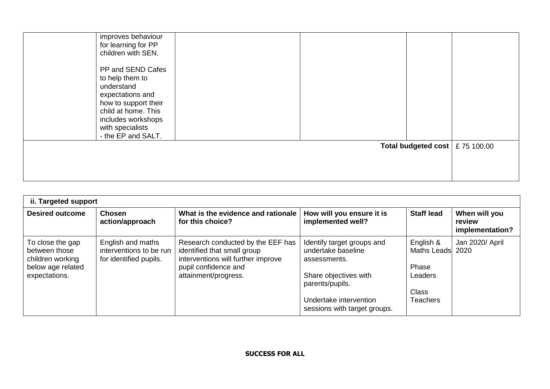| improves behaviour<br>for learning for PP<br>children with SEN.                                                                                                                       |  |                                         |  |
|---------------------------------------------------------------------------------------------------------------------------------------------------------------------------------------|--|-----------------------------------------|--|
| PP and SEND Cafes<br>to help them to<br>understand<br>expectations and<br>how to support their<br>child at home. This<br>includes workshops<br>with specialists<br>- the EP and SALT. |  |                                         |  |
|                                                                                                                                                                                       |  | Total budgeted cost $\vert$ £ 75 100.00 |  |

| ii. Targeted support                                                                        |                                                                        |                                                                                                                                                        |                                                                                                                                                                        |                                                                                      |                                            |  |  |
|---------------------------------------------------------------------------------------------|------------------------------------------------------------------------|--------------------------------------------------------------------------------------------------------------------------------------------------------|------------------------------------------------------------------------------------------------------------------------------------------------------------------------|--------------------------------------------------------------------------------------|--------------------------------------------|--|--|
| <b>Desired outcome</b>                                                                      | <b>Chosen</b><br>action/approach                                       | What is the evidence and rationale<br>for this choice?                                                                                                 | How will you ensure it is<br>implemented well?                                                                                                                         | <b>Staff lead</b>                                                                    | When will you<br>review<br>implementation? |  |  |
| To close the gap<br>between those<br>children working<br>below age related<br>expectations. | English and maths<br>interventions to be run<br>for identified pupils. | Research conducted by the EEF has<br>identified that small group<br>interventions will further improve<br>pupil confidence and<br>attainment/progress. | Identify target groups and<br>undertake baseline<br>assessments.<br>Share objectives with<br>parents/pupils.<br>Undertake intervention<br>sessions with target groups. | English &<br>Maths Leads 2020<br>Phase<br>Leaders<br><b>Class</b><br><b>Teachers</b> | Jan 2020/ April                            |  |  |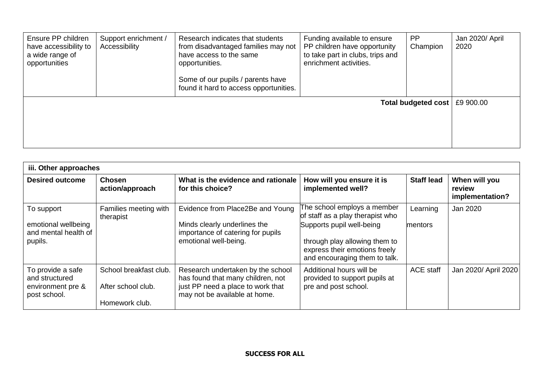| Ensure PP children<br>have accessibility to<br>a wide range of<br>opportunities | Support enrichment /<br>Accessibility | Research indicates that students<br>from disadvantaged families may not<br>have access to the same<br>opportunities.<br>Some of our pupils / parents have<br>found it hard to access opportunities. | Funding available to ensure<br>PP children have opportunity<br>to take part in clubs, trips and<br>enrichment activities. | <b>PP</b><br>Champion      | Jan 2020/ April<br>2020 |
|---------------------------------------------------------------------------------|---------------------------------------|-----------------------------------------------------------------------------------------------------------------------------------------------------------------------------------------------------|---------------------------------------------------------------------------------------------------------------------------|----------------------------|-------------------------|
|                                                                                 |                                       |                                                                                                                                                                                                     |                                                                                                                           | <b>Total budgeted cost</b> | £9 900.00               |

| iii. Other approaches                                                    |                                                                |                                                                                                                                              |                                                                                                                                                                                                 |                     |                                            |  |  |
|--------------------------------------------------------------------------|----------------------------------------------------------------|----------------------------------------------------------------------------------------------------------------------------------------------|-------------------------------------------------------------------------------------------------------------------------------------------------------------------------------------------------|---------------------|--------------------------------------------|--|--|
| <b>Desired outcome</b>                                                   | <b>Chosen</b><br>action/approach                               | What is the evidence and rationale<br>for this choice?                                                                                       | How will you ensure it is<br>implemented well?                                                                                                                                                  | <b>Staff lead</b>   | When will you<br>review<br>implementation? |  |  |
| To support<br>emotional wellbeing<br>and mental health of<br>pupils.     | Families meeting with<br>therapist                             | Evidence from Place2Be and Young<br>Minds clearly underlines the<br>importance of catering for pupils<br>emotional well-being.               | The school employs a member<br>of staff as a play therapist who<br>Supports pupil well-being<br>through play allowing them to<br>express their emotions freely<br>and encouraging them to talk. | Learning<br>mentors | Jan 2020                                   |  |  |
| To provide a safe<br>and structured<br>environment pre &<br>post school. | School breakfast club.<br>After school club.<br>Homework club. | Research undertaken by the school<br>has found that many children, not<br>just PP need a place to work that<br>may not be available at home. | Additional hours will be<br>provided to support pupils at<br>pre and post school.                                                                                                               | <b>ACE staff</b>    | Jan 2020/ April 2020                       |  |  |